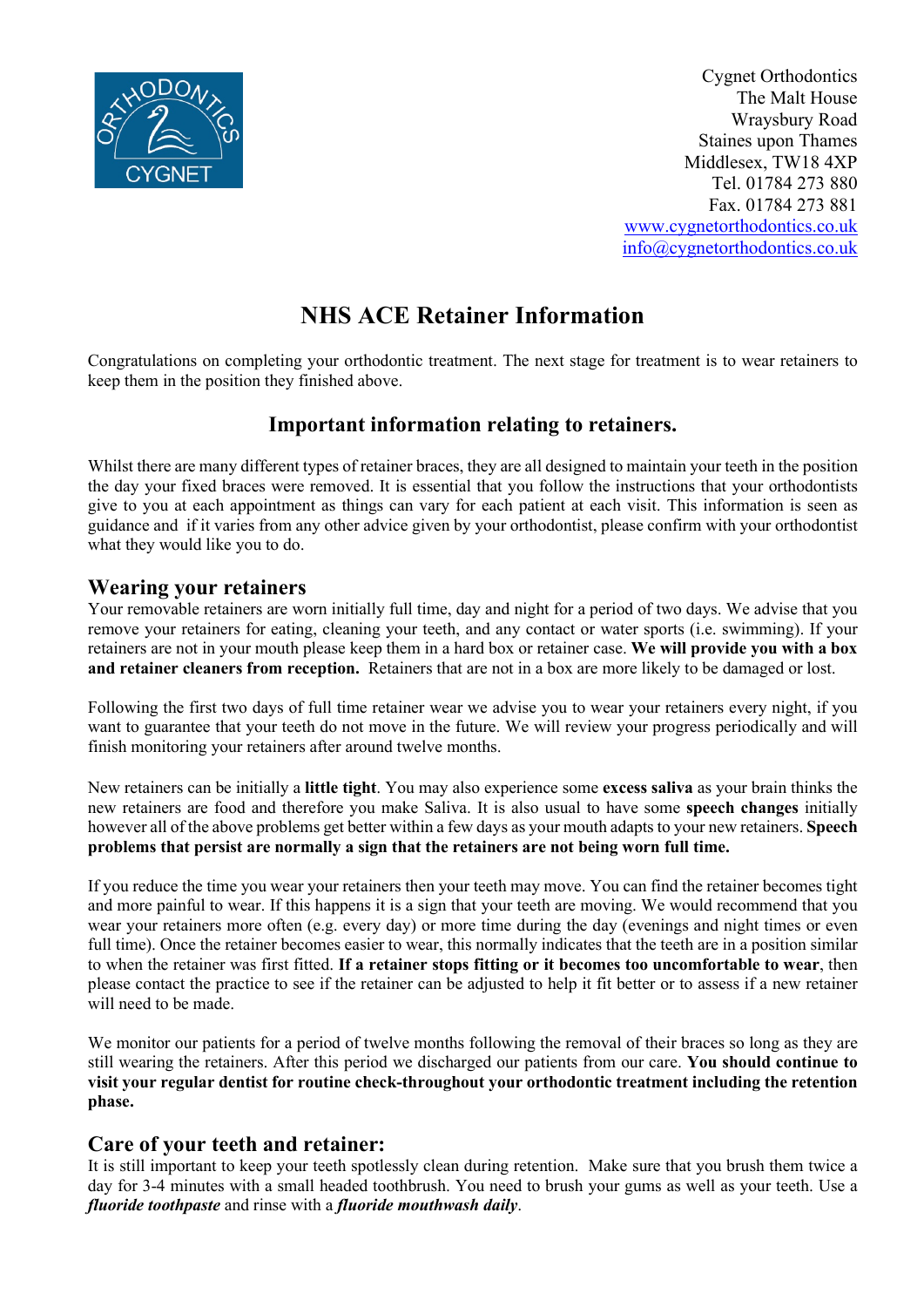

Cygnet Orthodontics The Malt House Wraysbury Road Staines upon Thames Middlesex, TW18 4XP Tel. 01784 273 880 Fax. 01784 273 881 [www.cygnetorthodontics.co.uk](http://www.cygnetorthodontics.co.uk/) [info@cygnetorthodontics.co.uk](mailto:info@cygnetorthodontics.co.uk)

# **NHS ACE Retainer Information**

Congratulations on completing your orthodontic treatment. The next stage for treatment is to wear retainers to keep them in the position they finished above.

## **Important information relating to retainers.**

Whilst there are many different types of retainer braces, they are all designed to maintain your teeth in the position the day your fixed braces were removed. It is essential that you follow the instructions that your orthodontists give to you at each appointment as things can vary for each patient at each visit. This information is seen as guidance and if it varies from any other advice given by your orthodontist, please confirm with your orthodontist what they would like you to do.

### **Wearing your retainers**

Your removable retainers are worn initially full time, day and night for a period of two days. We advise that you remove your retainers for eating, cleaning your teeth, and any contact or water sports (i.e. swimming). If your retainers are not in your mouth please keep them in a hard box or retainer case. **We will provide you with a box and retainer cleaners from reception.** Retainers that are not in a box are more likely to be damaged or lost.

Following the first two days of full time retainer wear we advise you to wear your retainers every night, if you want to guarantee that your teeth do not move in the future. We will review your progress periodically and will finish monitoring your retainers after around twelve months.

New retainers can be initially a **little tight**. You may also experience some **excess saliva** as your brain thinks the new retainers are food and therefore you make Saliva. It is also usual to have some **speech changes** initially however all of the above problems get better within a few days as your mouth adapts to your new retainers. **Speech problems that persist are normally a sign that the retainers are not being worn full time.**

If you reduce the time you wear your retainers then your teeth may move. You can find the retainer becomes tight and more painful to wear. If this happens it is a sign that your teeth are moving. We would recommend that you wear your retainers more often (e.g. every day) or more time during the day (evenings and night times or even full time). Once the retainer becomes easier to wear, this normally indicates that the teeth are in a position similar to when the retainer was first fitted. **If a retainer stops fitting or it becomes too uncomfortable to wear**, then please contact the practice to see if the retainer can be adjusted to help it fit better or to assess if a new retainer will need to be made.

We monitor our patients for a period of twelve months following the removal of their braces so long as they are still wearing the retainers. After this period we discharged our patients from our care. **You should continue to visit your regular dentist for routine check-throughout your orthodontic treatment including the retention phase.**

### **Care of your teeth and retainer:**

It is still important to keep your teeth spotlessly clean during retention. Make sure that you brush them twice a day for 3-4 minutes with a small headed toothbrush. You need to brush your gums as well as your teeth. Use a *fluoride toothpaste* and rinse with a *fluoride mouthwash daily*.